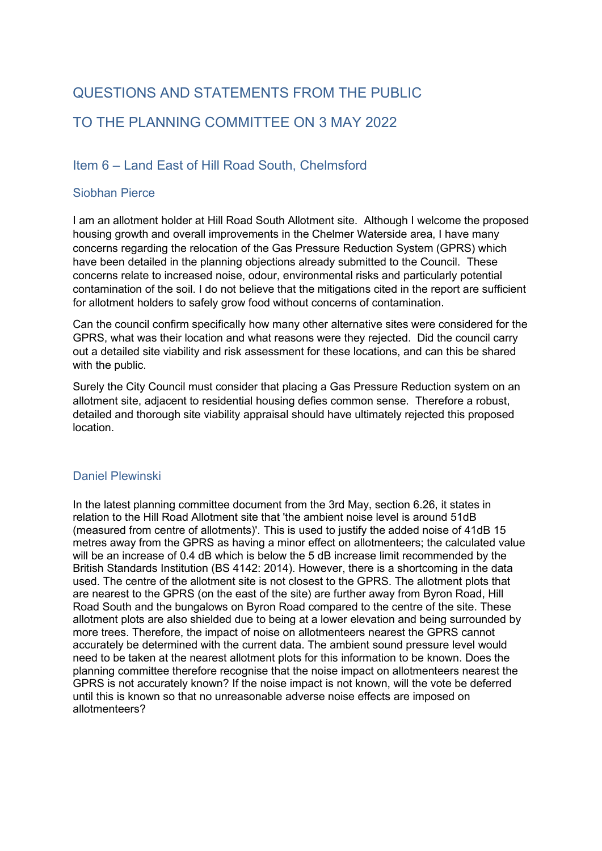# QUESTIONS AND STATEMENTS FROM THE PUBLIC TO THE PLANNING COMMITTEE ON 3 MAY 2022

# Item 6 – Land East of Hill Road South, Chelmsford

## Siobhan Pierce

I am an allotment holder at Hill Road South Allotment site. Although I welcome the proposed housing growth and overall improvements in the Chelmer Waterside area, I have many concerns regarding the relocation of the Gas Pressure Reduction System (GPRS) which have been detailed in the planning objections already submitted to the Council. These concerns relate to increased noise, odour, environmental risks and particularly potential contamination of the soil. I do not believe that the mitigations cited in the report are sufficient for allotment holders to safely grow food without concerns of contamination.

Can the council confirm specifically how many other alternative sites were considered for the GPRS, what was their location and what reasons were they rejected. Did the council carry out a detailed site viability and risk assessment for these locations, and can this be shared with the public.

Surely the City Council must consider that placing a Gas Pressure Reduction system on an allotment site, adjacent to residential housing defies common sense. Therefore a robust, detailed and thorough site viability appraisal should have ultimately rejected this proposed location.

# Daniel Plewinski

In the latest planning committee document from the 3rd May, section 6.26, it states in relation to the Hill Road Allotment site that 'the ambient noise level is around 51dB (measured from centre of allotments)'. This is used to justify the added noise of 41dB 15 metres away from the GPRS as having a minor effect on allotmenteers; the calculated value will be an increase of 0.4 dB which is below the 5 dB increase limit recommended by the British Standards Institution (BS 4142: 2014). However, there is a shortcoming in the data used. The centre of the allotment site is not closest to the GPRS. The allotment plots that are nearest to the GPRS (on the east of the site) are further away from Byron Road, Hill Road South and the bungalows on Byron Road compared to the centre of the site. These allotment plots are also shielded due to being at a lower elevation and being surrounded by more trees. Therefore, the impact of noise on allotmenteers nearest the GPRS cannot accurately be determined with the current data. The ambient sound pressure level would need to be taken at the nearest allotment plots for this information to be known. Does the planning committee therefore recognise that the noise impact on allotmenteers nearest the GPRS is not accurately known? If the noise impact is not known, will the vote be deferred until this is known so that no unreasonable adverse noise effects are imposed on allotmenteers?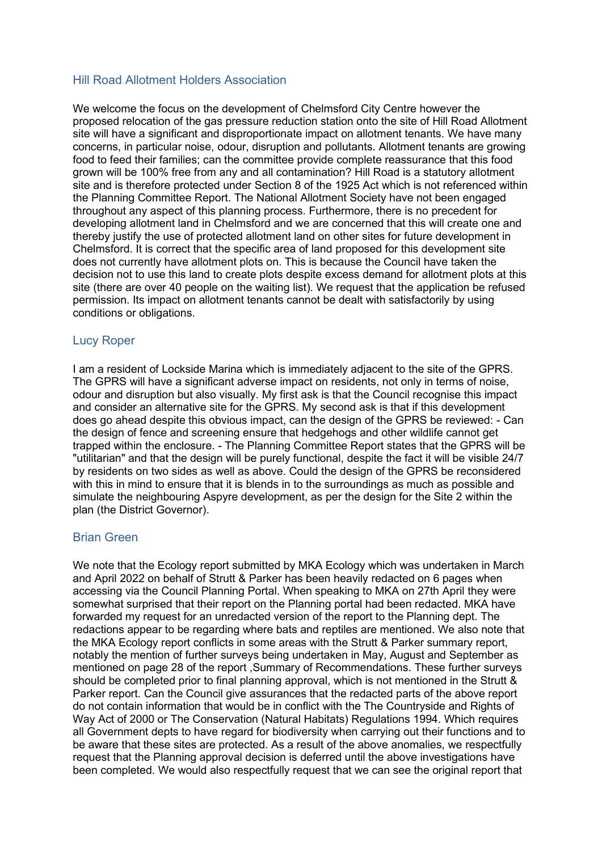### Hill Road Allotment Holders Association

We welcome the focus on the development of Chelmsford City Centre however the proposed relocation of the gas pressure reduction station onto the site of Hill Road Allotment site will have a significant and disproportionate impact on allotment tenants. We have many concerns, in particular noise, odour, disruption and pollutants. Allotment tenants are growing food to feed their families; can the committee provide complete reassurance that this food grown will be 100% free from any and all contamination? Hill Road is a statutory allotment site and is therefore protected under Section 8 of the 1925 Act which is not referenced within the Planning Committee Report. The National Allotment Society have not been engaged throughout any aspect of this planning process. Furthermore, there is no precedent for developing allotment land in Chelmsford and we are concerned that this will create one and thereby justify the use of protected allotment land on other sites for future development in Chelmsford. It is correct that the specific area of land proposed for this development site does not currently have allotment plots on. This is because the Council have taken the decision not to use this land to create plots despite excess demand for allotment plots at this site (there are over 40 people on the waiting list). We request that the application be refused permission. Its impact on allotment tenants cannot be dealt with satisfactorily by using conditions or obligations.

#### Lucy Roper

I am a resident of Lockside Marina which is immediately adjacent to the site of the GPRS. The GPRS will have a significant adverse impact on residents, not only in terms of noise, odour and disruption but also visually. My first ask is that the Council recognise this impact and consider an alternative site for the GPRS. My second ask is that if this development does go ahead despite this obvious impact, can the design of the GPRS be reviewed: - Can the design of fence and screening ensure that hedgehogs and other wildlife cannot get trapped within the enclosure. - The Planning Committee Report states that the GPRS will be "utilitarian" and that the design will be purely functional, despite the fact it will be visible 24/7 by residents on two sides as well as above. Could the design of the GPRS be reconsidered with this in mind to ensure that it is blends in to the surroundings as much as possible and simulate the neighbouring Aspyre development, as per the design for the Site 2 within the plan (the District Governor).

#### Brian Green

We note that the Ecology report submitted by MKA Ecology which was undertaken in March and April 2022 on behalf of Strutt & Parker has been heavily redacted on 6 pages when accessing via the Council Planning Portal. When speaking to MKA on 27th April they were somewhat surprised that their report on the Planning portal had been redacted. MKA have forwarded my request for an unredacted version of the report to the Planning dept. The redactions appear to be regarding where bats and reptiles are mentioned. We also note that the MKA Ecology report conflicts in some areas with the Strutt & Parker summary report, notably the mention of further surveys being undertaken in May, August and September as mentioned on page 28 of the report ,Summary of Recommendations. These further surveys should be completed prior to final planning approval, which is not mentioned in the Strutt & Parker report. Can the Council give assurances that the redacted parts of the above report do not contain information that would be in conflict with the The Countryside and Rights of Way Act of 2000 or The Conservation (Natural Habitats) Regulations 1994. Which requires all Government depts to have regard for biodiversity when carrying out their functions and to be aware that these sites are protected. As a result of the above anomalies, we respectfully request that the Planning approval decision is deferred until the above investigations have been completed. We would also respectfully request that we can see the original report that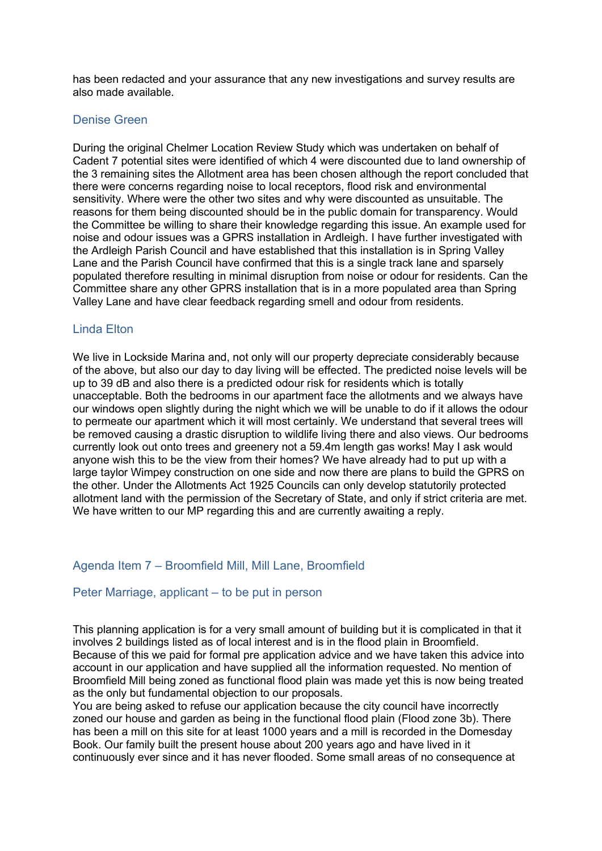has been redacted and your assurance that any new investigations and survey results are also made available.

#### Denise Green

During the original Chelmer Location Review Study which was undertaken on behalf of Cadent 7 potential sites were identified of which 4 were discounted due to land ownership of the 3 remaining sites the Allotment area has been chosen although the report concluded that there were concerns regarding noise to local receptors, flood risk and environmental sensitivity. Where were the other two sites and why were discounted as unsuitable. The reasons for them being discounted should be in the public domain for transparency. Would the Committee be willing to share their knowledge regarding this issue. An example used for noise and odour issues was a GPRS installation in Ardleigh. I have further investigated with the Ardleigh Parish Council and have established that this installation is in Spring Valley Lane and the Parish Council have confirmed that this is a single track lane and sparsely populated therefore resulting in minimal disruption from noise or odour for residents. Can the Committee share any other GPRS installation that is in a more populated area than Spring Valley Lane and have clear feedback regarding smell and odour from residents.

#### Linda Elton

We live in Lockside Marina and, not only will our property depreciate considerably because of the above, but also our day to day living will be effected. The predicted noise levels will be up to 39 dB and also there is a predicted odour risk for residents which is totally unacceptable. Both the bedrooms in our apartment face the allotments and we always have our windows open slightly during the night which we will be unable to do if it allows the odour to permeate our apartment which it will most certainly. We understand that several trees will be removed causing a drastic disruption to wildlife living there and also views. Our bedrooms currently look out onto trees and greenery not a 59.4m length gas works! May I ask would anyone wish this to be the view from their homes? We have already had to put up with a large taylor Wimpey construction on one side and now there are plans to build the GPRS on the other. Under the Allotments Act 1925 Councils can only develop statutorily protected allotment land with the permission of the Secretary of State, and only if strict criteria are met. We have written to our MP regarding this and are currently awaiting a reply.

#### Agenda Item 7 – Broomfield Mill, Mill Lane, Broomfield

#### Peter Marriage, applicant – to be put in person

This planning application is for a very small amount of building but it is complicated in that it involves 2 buildings listed as of local interest and is in the flood plain in Broomfield. Because of this we paid for formal pre application advice and we have taken this advice into account in our application and have supplied all the information requested. No mention of Broomfield Mill being zoned as functional flood plain was made yet this is now being treated as the only but fundamental objection to our proposals.

You are being asked to refuse our application because the city council have incorrectly zoned our house and garden as being in the functional flood plain (Flood zone 3b). There has been a mill on this site for at least 1000 years and a mill is recorded in the Domesday Book. Our family built the present house about 200 years ago and have lived in it continuously ever since and it has never flooded. Some small areas of no consequence at